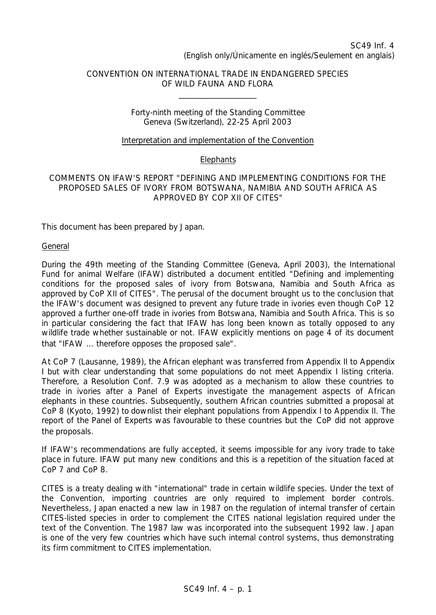# CONVENTION ON INTERNATIONAL TRADE IN ENDANGERED SPECIES OF WILD FAUNA AND FLORA

\_\_\_\_\_\_\_\_\_\_\_\_\_\_\_\_\_\_\_\_

#### Forty-ninth meeting of the Standing Committee Geneva (Switzerland), 22-25 April 2003

### Interpretation and implementation of the Convention

## **Elephants**

### COMMENTS ON IFAW'S REPORT "DEFINING AND IMPLEMENTING CONDITIONS FOR THE PROPOSED SALES OF IVORY FROM BOTSWANA, NAMIBIA AND SOUTH AFRICA AS APPROVED BY COP XII OF CITES"

This document has been prepared by Japan.

#### General

During the 49th meeting of the Standing Committee (Geneva, April 2003), the International Fund for animal Welfare (IFAW) distributed a document entitled "Defining and implementing conditions for the proposed sales of ivory from Botswana, Namibia and South Africa as approved by CoP XII of CITES". The perusal of the document brought us to the conclusion that the IFAW's document was designed to prevent any future trade in ivories even though CoP 12 approved a further one-off trade in ivories from Botswana, Namibia and South Africa. This is so in particular considering the fact that IFAW has long been known as totally opposed to any wildlife trade whether sustainable or not. IFAW explicitly mentions on page 4 of its document that "IFAW … therefore opposes the proposed sale".

At CoP 7 (Lausanne, 1989), the African elephant was transferred from Appendix II to Appendix I but with clear understanding that some populations do not meet Appendix I listing criteria. Therefore, a Resolution Conf. 7.9 was adopted as a mechanism to allow these countries to trade in ivories after a Panel of Experts investigate the management aspects of African elephants in these countries. Subsequently, southern African countries submitted a proposal at CoP 8 (Kyoto, 1992) to downlist their elephant populations from Appendix I to Appendix II. The report of the Panel of Experts was favourable to these countries but the CoP did not approve the proposals.

If IFAW's recommendations are fully accepted, it seems impossible for any ivory trade to take place in future. IFAW put many new conditions and this is a repetition of the situation faced at CoP 7 and CoP 8.

CITES is a treaty dealing with "international" trade in certain wildlife species. Under the text of the Convention, importing countries are only required to implement border controls. Nevertheless, Japan enacted a new law in 1987 on the regulation of internal transfer of certain CITES-listed species in order to complement the CITES national legislation required under the text of the Convention. The 1987 law was incorporated into the subsequent 1992 law. Japan is one of the very few countries which have such internal control systems, thus demonstrating its firm commitment to CITES implementation.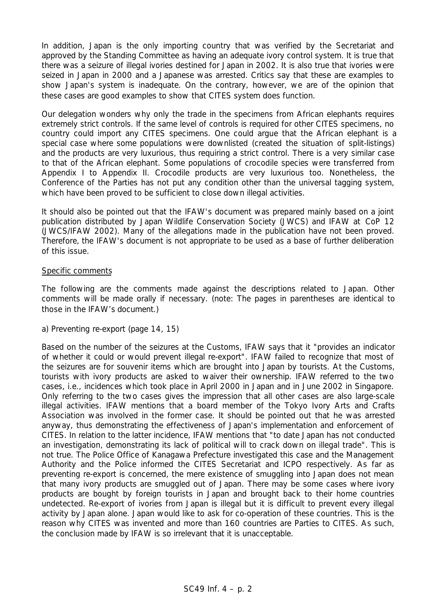In addition, Japan is the only importing country that was verified by the Secretariat and approved by the Standing Committee as having an adequate ivory control system. It is true that there was a seizure of illegal ivories destined for Japan in 2002. It is also true that ivories were seized in Japan in 2000 and a Japanese was arrested. Critics say that these are examples to show Japan's system is inadequate. On the contrary, however, we are of the opinion that these cases are good examples to show that CITES system does function.

Our delegation wonders why only the trade in the specimens from African elephants requires extremely strict controls. If the same level of controls is required for other CITES specimens, no country could import any CITES specimens. One could argue that the African elephant is a special case where some populations were downlisted (created the situation of split-listings) and the products are very luxurious, thus requiring a strict control. There is a very similar case to that of the African elephant. Some populations of crocodile species were transferred from Appendix I to Appendix II. Crocodile products are very luxurious too. Nonetheless, the Conference of the Parties has not put any condition other than the universal tagging system, which have been proved to be sufficient to close down illegal activities.

It should also be pointed out that the IFAW's document was prepared mainly based on a joint publication distributed by Japan Wildlife Conservation Society (JWCS) and IFAW at CoP 12 (JWCS/IFAW 2002). Many of the allegations made in the publication have not been proved. Therefore, the IFAW's document is not appropriate to be used as a base of further deliberation of this issue.

### Specific comments

The following are the comments made against the descriptions related to Japan. Other comments will be made orally if necessary. (note: The pages in parentheses are identical to those in the IFAW's document.)

## *a) Preventing re-export (page 14, 15)*

Based on the number of the seizures at the Customs, IFAW says that it "provides an indicator of whether it could or would prevent illegal re-export". IFAW failed to recognize that most of the seizures are for souvenir items which are brought into Japan by tourists. At the Customs, tourists with ivory products are asked to waiver their ownership. IFAW referred to the two cases, i.e., incidences which took place in April 2000 in Japan and in June 2002 in Singapore. Only referring to the two cases gives the impression that all other cases are also large-scale illegal activities. IFAW mentions that a board member of the Tokyo Ivory Arts and Crafts Association was involved in the former case. It should be pointed out that he was arrested anyway, thus demonstrating the effectiveness of Japan's implementation and enforcement of CITES. In relation to the latter incidence, IFAW mentions that "to date Japan has not conducted an investigation, demonstrating its lack of political will to crack down on illegal trade". This is not true. The Police Office of Kanagawa Prefecture investigated this case and the Management Authority and the Police informed the CITES Secretariat and ICPO respectively. As far as preventing re-export is concerned, the mere existence of smuggling into Japan does not mean that many ivory products are smuggled out of Japan. There may be some cases where ivory products are bought by foreign tourists in Japan and brought back to their home countries undetected. Re-export of ivories from Japan is illegal but it is difficult to prevent every illegal activity by Japan alone. Japan would like to ask for co-operation of these countries. This is the reason why CITES was invented and more than 160 countries are Parties to CITES. As such, the conclusion made by IFAW is so irrelevant that it is unacceptable.